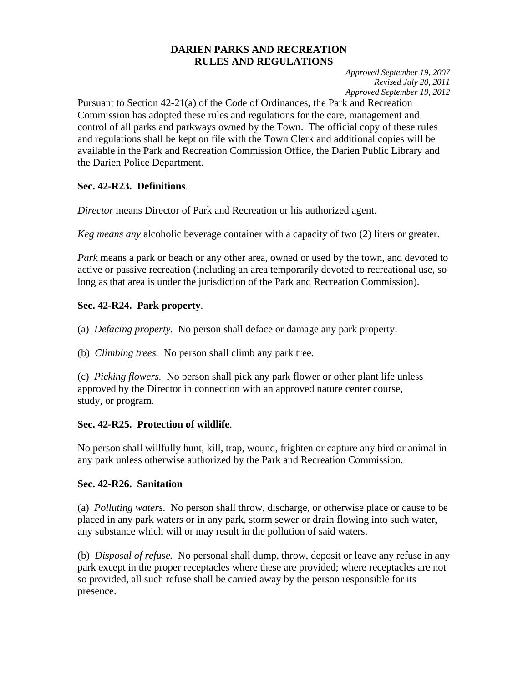### **DARIEN PARKS AND RECREATION RULES AND REGULATIONS**

*Approved September 19, 2007 Revised July 20, 2011*  *Approved September 19, 2012* 

Pursuant to Section 42-21(a) of the Code of Ordinances, the Park and Recreation Commission has adopted these rules and regulations for the care, management and control of all parks and parkways owned by the Town. The official copy of these rules and regulations shall be kept on file with the Town Clerk and additional copies will be available in the Park and Recreation Commission Office, the Darien Public Library and the Darien Police Department.

## **Sec. 42-R23. Definitions**.

*Director* means Director of Park and Recreation or his authorized agent.

*Keg means any* alcoholic beverage container with a capacity of two (2) liters or greater.

*Park* means a park or beach or any other area, owned or used by the town, and devoted to active or passive recreation (including an area temporarily devoted to recreational use, so long as that area is under the jurisdiction of the Park and Recreation Commission).

# **Sec. 42-R24. Park property**.

(a) *Defacing property.* No person shall deface or damage any park property.

(b) *Climbing trees.* No person shall climb any park tree.

(c) *Picking flowers.* No person shall pick any park flower or other plant life unless approved by the Director in connection with an approved nature center course, study, or program.

# **Sec. 42-R25. Protection of wildlife**.

No person shall willfully hunt, kill, trap, wound, frighten or capture any bird or animal in any park unless otherwise authorized by the Park and Recreation Commission.

## **Sec. 42-R26. Sanitation**

(a) *Polluting waters.* No person shall throw, discharge, or otherwise place or cause to be placed in any park waters or in any park, storm sewer or drain flowing into such water, any substance which will or may result in the pollution of said waters.

(b) *Disposal of refuse.* No personal shall dump, throw, deposit or leave any refuse in any park except in the proper receptacles where these are provided; where receptacles are not so provided, all such refuse shall be carried away by the person responsible for its presence.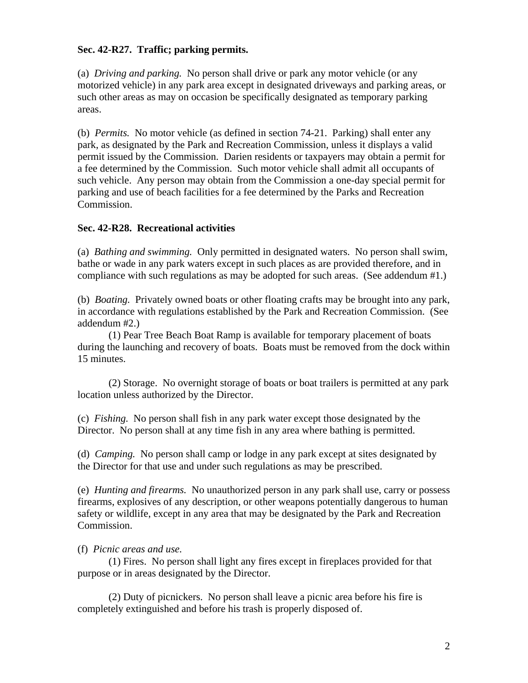## **Sec. 42-R27. Traffic; parking permits.**

(a) *Driving and parking.* No person shall drive or park any motor vehicle (or any motorized vehicle) in any park area except in designated driveways and parking areas, or such other areas as may on occasion be specifically designated as temporary parking areas.

(b) *Permits.* No motor vehicle (as defined in section 74-21. Parking) shall enter any park, as designated by the Park and Recreation Commission, unless it displays a valid permit issued by the Commission. Darien residents or taxpayers may obtain a permit for a fee determined by the Commission. Such motor vehicle shall admit all occupants of such vehicle. Any person may obtain from the Commission a one-day special permit for parking and use of beach facilities for a fee determined by the Parks and Recreation Commission.

### **Sec. 42-R28. Recreational activities**

(a) *Bathing and swimming.* Only permitted in designated waters. No person shall swim, bathe or wade in any park waters except in such places as are provided therefore, and in compliance with such regulations as may be adopted for such areas. (See addendum #1.)

(b) *Boating.* Privately owned boats or other floating crafts may be brought into any park, in accordance with regulations established by the Park and Recreation Commission. (See addendum #2.)

 (1) Pear Tree Beach Boat Ramp is available for temporary placement of boats during the launching and recovery of boats. Boats must be removed from the dock within 15 minutes.

 (2) Storage. No overnight storage of boats or boat trailers is permitted at any park location unless authorized by the Director.

(c) *Fishing.* No person shall fish in any park water except those designated by the Director. No person shall at any time fish in any area where bathing is permitted.

(d) *Camping.* No person shall camp or lodge in any park except at sites designated by the Director for that use and under such regulations as may be prescribed.

(e) *Hunting and firearms.* No unauthorized person in any park shall use, carry or possess firearms, explosives of any description, or other weapons potentially dangerous to human safety or wildlife, except in any area that may be designated by the Park and Recreation Commission.

### (f) *Picnic areas and use.*

 (1) Fires. No person shall light any fires except in fireplaces provided for that purpose or in areas designated by the Director.

 (2) Duty of picnickers. No person shall leave a picnic area before his fire is completely extinguished and before his trash is properly disposed of.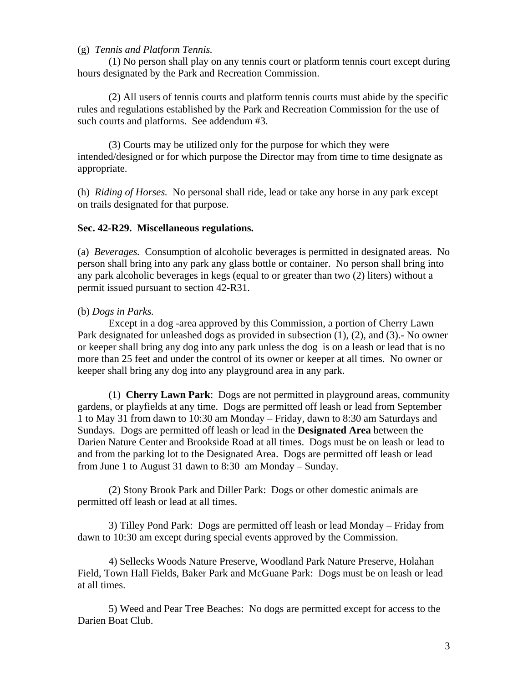### (g) *Tennis and Platform Tennis.*

 (1) No person shall play on any tennis court or platform tennis court except during hours designated by the Park and Recreation Commission.

 (2) All users of tennis courts and platform tennis courts must abide by the specific rules and regulations established by the Park and Recreation Commission for the use of such courts and platforms. See addendum #3.

 (3) Courts may be utilized only for the purpose for which they were intended/designed or for which purpose the Director may from time to time designate as appropriate.

(h) *Riding of Horses.* No personal shall ride, lead or take any horse in any park except on trails designated for that purpose.

#### **Sec. 42-R29. Miscellaneous regulations.**

(a) *Beverages.* Consumption of alcoholic beverages is permitted in designated areas. No person shall bring into any park any glass bottle or container. No person shall bring into any park alcoholic beverages in kegs (equal to or greater than two (2) liters) without a permit issued pursuant to section 42-R31.

### (b) *Dogs in Parks.*

 Except in a dog -area approved by this Commission, a portion of Cherry Lawn Park designated for unleashed dogs as provided in subsection (1), (2), and (3).- No owner or keeper shall bring any dog into any park unless the dog is on a leash or lead that is no more than 25 feet and under the control of its owner or keeper at all times. No owner or keeper shall bring any dog into any playground area in any park.

 (1) **Cherry Lawn Park**: Dogs are not permitted in playground areas, community gardens, or playfields at any time. Dogs are permitted off leash or lead from September 1 to May 31 from dawn to 10:30 am Monday – Friday, dawn to 8:30 am Saturdays and Sundays. Dogs are permitted off leash or lead in the **Designated Area** between the Darien Nature Center and Brookside Road at all times. Dogs must be on leash or lead to and from the parking lot to the Designated Area. Dogs are permitted off leash or lead from June 1 to August 31 dawn to 8:30 am Monday – Sunday.

(2) Stony Brook Park and Diller Park: Dogs or other domestic animals are permitted off leash or lead at all times.

3) Tilley Pond Park: Dogs are permitted off leash or lead Monday – Friday from dawn to 10:30 am except during special events approved by the Commission.

4) Sellecks Woods Nature Preserve, Woodland Park Nature Preserve, Holahan Field, Town Hall Fields, Baker Park and McGuane Park: Dogs must be on leash or lead at all times.

5) Weed and Pear Tree Beaches: No dogs are permitted except for access to the Darien Boat Club.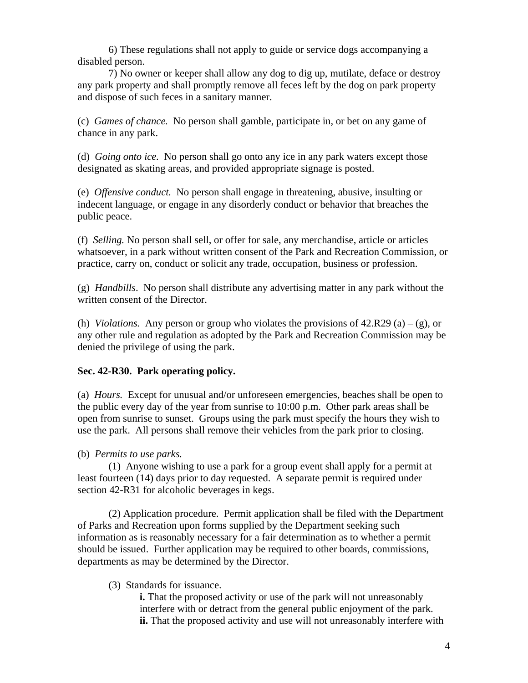6) These regulations shall not apply to guide or service dogs accompanying a disabled person.

7) No owner or keeper shall allow any dog to dig up, mutilate, deface or destroy any park property and shall promptly remove all feces left by the dog on park property and dispose of such feces in a sanitary manner.

(c) *Games of chance.* No person shall gamble, participate in, or bet on any game of chance in any park.

(d) *Going onto ice.* No person shall go onto any ice in any park waters except those designated as skating areas, and provided appropriate signage is posted.

(e) *Offensive conduct.* No person shall engage in threatening, abusive, insulting or indecent language, or engage in any disorderly conduct or behavior that breaches the public peace.

(f) *Selling.* No person shall sell, or offer for sale, any merchandise, article or articles whatsoever, in a park without written consent of the Park and Recreation Commission, or practice, carry on, conduct or solicit any trade, occupation, business or profession.

(g) *Handbills*. No person shall distribute any advertising matter in any park without the written consent of the Director.

(h) *Violations.* Any person or group who violates the provisions of  $42.R29(a) - (g)$ , or any other rule and regulation as adopted by the Park and Recreation Commission may be denied the privilege of using the park.

## **Sec. 42-R30. Park operating policy.**

(a) *Hours.* Except for unusual and/or unforeseen emergencies, beaches shall be open to the public every day of the year from sunrise to 10:00 p.m. Other park areas shall be open from sunrise to sunset. Groups using the park must specify the hours they wish to use the park. All persons shall remove their vehicles from the park prior to closing.

### (b) *Permits to use parks.*

 (1) Anyone wishing to use a park for a group event shall apply for a permit at least fourteen (14) days prior to day requested. A separate permit is required under section 42-R31 for alcoholic beverages in kegs.

 (2) Application procedure. Permit application shall be filed with the Department of Parks and Recreation upon forms supplied by the Department seeking such information as is reasonably necessary for a fair determination as to whether a permit should be issued. Further application may be required to other boards, commissions, departments as may be determined by the Director.

### (3) Standards for issuance.

**i.** That the proposed activity or use of the park will not unreasonably interfere with or detract from the general public enjoyment of the park. **ii.** That the proposed activity and use will not unreasonably interfere with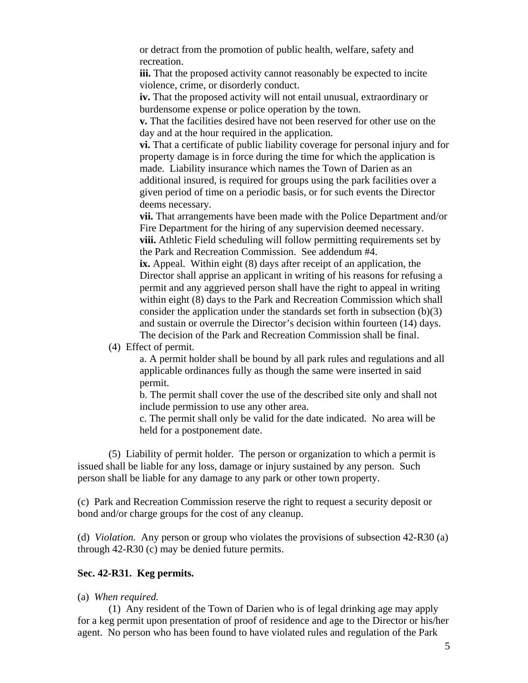or detract from the promotion of public health, welfare, safety and recreation.

**iii.** That the proposed activity cannot reasonably be expected to incite violence, crime, or disorderly conduct.

**iv.** That the proposed activity will not entail unusual, extraordinary or burdensome expense or police operation by the town.

**v.** That the facilities desired have not been reserved for other use on the day and at the hour required in the application.

**vi.** That a certificate of public liability coverage for personal injury and for property damage is in force during the time for which the application is made. Liability insurance which names the Town of Darien as an additional insured, is required for groups using the park facilities over a given period of time on a periodic basis, or for such events the Director deems necessary.

**vii.** That arrangements have been made with the Police Department and/or Fire Department for the hiring of any supervision deemed necessary. **viii.** Athletic Field scheduling will follow permitting requirements set by the Park and Recreation Commission. See addendum #4.

**ix.** Appeal. Within eight (8) days after receipt of an application, the Director shall apprise an applicant in writing of his reasons for refusing a permit and any aggrieved person shall have the right to appeal in writing within eight (8) days to the Park and Recreation Commission which shall consider the application under the standards set forth in subsection  $(b)(3)$ and sustain or overrule the Director's decision within fourteen (14) days. The decision of the Park and Recreation Commission shall be final.

(4) Effect of permit.

a. A permit holder shall be bound by all park rules and regulations and all applicable ordinances fully as though the same were inserted in said permit.

b. The permit shall cover the use of the described site only and shall not include permission to use any other area.

c. The permit shall only be valid for the date indicated. No area will be held for a postponement date.

 (5) Liability of permit holder. The person or organization to which a permit is issued shall be liable for any loss, damage or injury sustained by any person. Such person shall be liable for any damage to any park or other town property.

(c) Park and Recreation Commission reserve the right to request a security deposit or bond and/or charge groups for the cost of any cleanup.

(d) *Violation.* Any person or group who violates the provisions of subsection 42-R30 (a) through 42-R30 (c) may be denied future permits.

### **Sec. 42-R31. Keg permits.**

#### (a) *When required.*

 (1) Any resident of the Town of Darien who is of legal drinking age may apply for a keg permit upon presentation of proof of residence and age to the Director or his/her agent. No person who has been found to have violated rules and regulation of the Park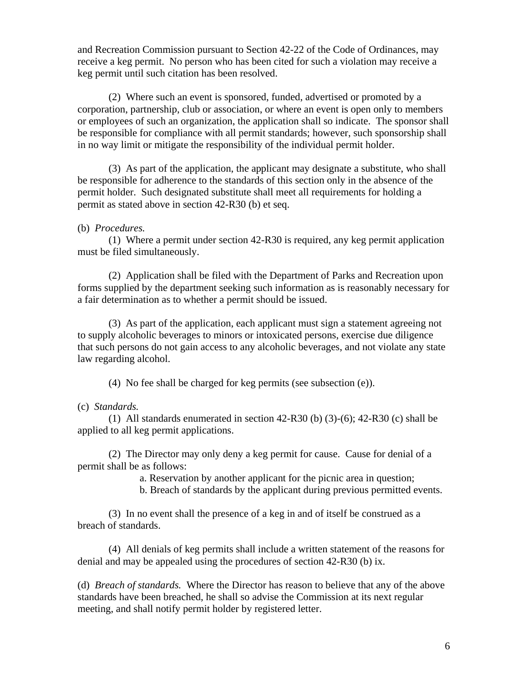and Recreation Commission pursuant to Section 42-22 of the Code of Ordinances, may receive a keg permit. No person who has been cited for such a violation may receive a keg permit until such citation has been resolved.

 (2) Where such an event is sponsored, funded, advertised or promoted by a corporation, partnership, club or association, or where an event is open only to members or employees of such an organization, the application shall so indicate. The sponsor shall be responsible for compliance with all permit standards; however, such sponsorship shall in no way limit or mitigate the responsibility of the individual permit holder.

 (3) As part of the application, the applicant may designate a substitute, who shall be responsible for adherence to the standards of this section only in the absence of the permit holder. Such designated substitute shall meet all requirements for holding a permit as stated above in section 42-R30 (b) et seq.

#### (b) *Procedures.*

 (1) Where a permit under section 42-R30 is required, any keg permit application must be filed simultaneously.

 (2) Application shall be filed with the Department of Parks and Recreation upon forms supplied by the department seeking such information as is reasonably necessary for a fair determination as to whether a permit should be issued.

 (3) As part of the application, each applicant must sign a statement agreeing not to supply alcoholic beverages to minors or intoxicated persons, exercise due diligence that such persons do not gain access to any alcoholic beverages, and not violate any state law regarding alcohol.

(4) No fee shall be charged for keg permits (see subsection (e)).

#### (c) *Standards.*

(1) All standards enumerated in section  $42-R30$  (b)  $(3)-(6)$ ;  $42-R30$  (c) shall be applied to all keg permit applications.

 (2) The Director may only deny a keg permit for cause. Cause for denial of a permit shall be as follows:

a. Reservation by another applicant for the picnic area in question;

b. Breach of standards by the applicant during previous permitted events.

 (3) In no event shall the presence of a keg in and of itself be construed as a breach of standards.

 (4) All denials of keg permits shall include a written statement of the reasons for denial and may be appealed using the procedures of section 42-R30 (b) ix.

(d) *Breach of standards.* Where the Director has reason to believe that any of the above standards have been breached, he shall so advise the Commission at its next regular meeting, and shall notify permit holder by registered letter.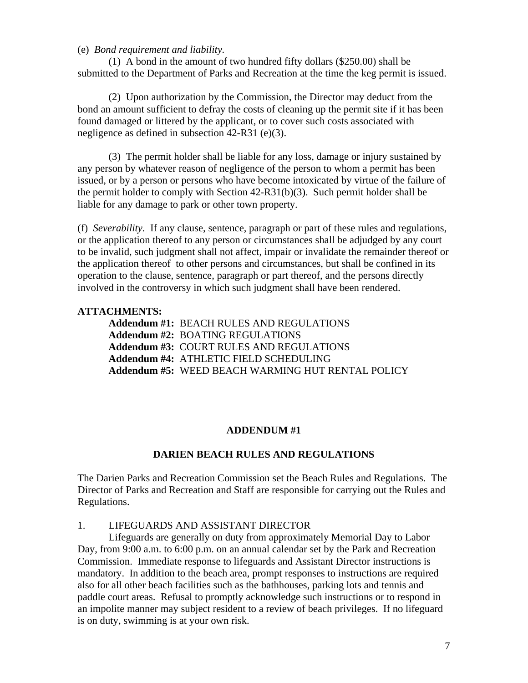#### (e) *Bond requirement and liability.*

 (1) A bond in the amount of two hundred fifty dollars (\$250.00) shall be submitted to the Department of Parks and Recreation at the time the keg permit is issued.

 (2) Upon authorization by the Commission, the Director may deduct from the bond an amount sufficient to defray the costs of cleaning up the permit site if it has been found damaged or littered by the applicant, or to cover such costs associated with negligence as defined in subsection 42-R31 (e)(3).

 (3) The permit holder shall be liable for any loss, damage or injury sustained by any person by whatever reason of negligence of the person to whom a permit has been issued, or by a person or persons who have become intoxicated by virtue of the failure of the permit holder to comply with Section 42-R31(b)(3). Such permit holder shall be liable for any damage to park or other town property.

(f) *Severability.* If any clause, sentence, paragraph or part of these rules and regulations, or the application thereof to any person or circumstances shall be adjudged by any court to be invalid, such judgment shall not affect, impair or invalidate the remainder thereof or the application thereof to other persons and circumstances, but shall be confined in its operation to the clause, sentence, paragraph or part thereof, and the persons directly involved in the controversy in which such judgment shall have been rendered.

### **ATTACHMENTS:**

| Addendum #1: BEACH RULES AND REGULATIONS          |
|---------------------------------------------------|
| <b>Addendum #2: BOATING REGULATIONS</b>           |
| <b>Addendum #3: COURT RULES AND REGULATIONS</b>   |
| Addendum #4: ATHLETIC FIELD SCHEDULING            |
| Addendum #5: WEED BEACH WARMING HUT RENTAL POLICY |

#### **ADDENDUM #1**

#### **DARIEN BEACH RULES AND REGULATIONS**

The Darien Parks and Recreation Commission set the Beach Rules and Regulations. The Director of Parks and Recreation and Staff are responsible for carrying out the Rules and Regulations.

#### 1. LIFEGUARDS AND ASSISTANT DIRECTOR

 Lifeguards are generally on duty from approximately Memorial Day to Labor Day, from 9:00 a.m. to 6:00 p.m. on an annual calendar set by the Park and Recreation Commission. Immediate response to lifeguards and Assistant Director instructions is mandatory. In addition to the beach area, prompt responses to instructions are required also for all other beach facilities such as the bathhouses, parking lots and tennis and paddle court areas. Refusal to promptly acknowledge such instructions or to respond in an impolite manner may subject resident to a review of beach privileges. If no lifeguard is on duty, swimming is at your own risk.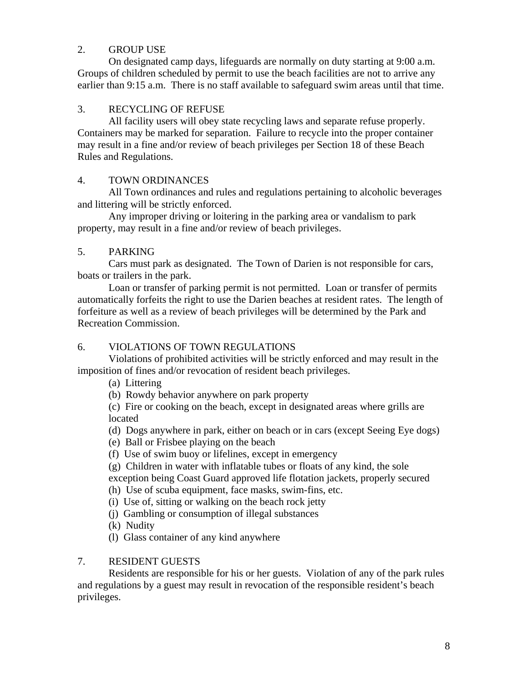### 2. GROUP USE

 On designated camp days, lifeguards are normally on duty starting at 9:00 a.m. Groups of children scheduled by permit to use the beach facilities are not to arrive any earlier than 9:15 a.m. There is no staff available to safeguard swim areas until that time.

## 3. RECYCLING OF REFUSE

 All facility users will obey state recycling laws and separate refuse properly. Containers may be marked for separation. Failure to recycle into the proper container may result in a fine and/or review of beach privileges per Section 18 of these Beach Rules and Regulations.

### 4. TOWN ORDINANCES

 All Town ordinances and rules and regulations pertaining to alcoholic beverages and littering will be strictly enforced.

 Any improper driving or loitering in the parking area or vandalism to park property, may result in a fine and/or review of beach privileges.

### 5. PARKING

 Cars must park as designated. The Town of Darien is not responsible for cars, boats or trailers in the park.

 Loan or transfer of parking permit is not permitted. Loan or transfer of permits automatically forfeits the right to use the Darien beaches at resident rates. The length of forfeiture as well as a review of beach privileges will be determined by the Park and Recreation Commission.

## 6. VIOLATIONS OF TOWN REGULATIONS

 Violations of prohibited activities will be strictly enforced and may result in the imposition of fines and/or revocation of resident beach privileges.

(a) Littering

(b) Rowdy behavior anywhere on park property

(c) Fire or cooking on the beach, except in designated areas where grills are located

- (d) Dogs anywhere in park, either on beach or in cars (except Seeing Eye dogs)
- (e) Ball or Frisbee playing on the beach
- (f) Use of swim buoy or lifelines, except in emergency

(g) Children in water with inflatable tubes or floats of any kind, the sole exception being Coast Guard approved life flotation jackets, properly secured

- (h) Use of scuba equipment, face masks, swim-fins, etc.
- (i) Use of, sitting or walking on the beach rock jetty
- (j) Gambling or consumption of illegal substances
- (k) Nudity
- (l) Glass container of any kind anywhere

### 7. RESIDENT GUESTS

 Residents are responsible for his or her guests. Violation of any of the park rules and regulations by a guest may result in revocation of the responsible resident's beach privileges.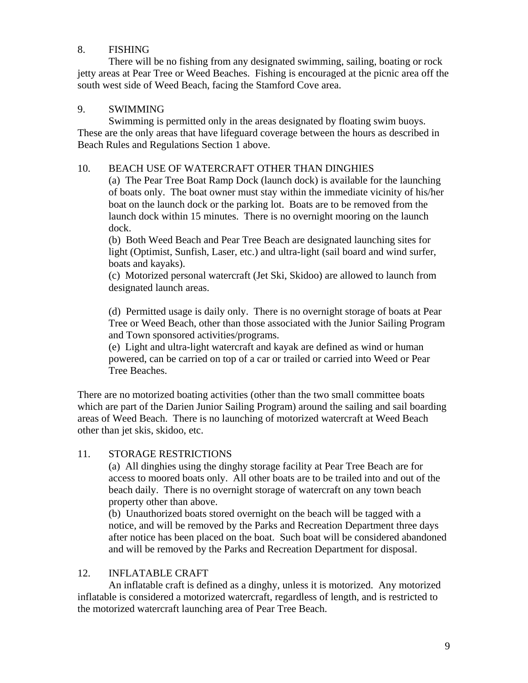## 8. FISHING

 There will be no fishing from any designated swimming, sailing, boating or rock jetty areas at Pear Tree or Weed Beaches. Fishing is encouraged at the picnic area off the south west side of Weed Beach, facing the Stamford Cove area.

### 9. SWIMMING

 Swimming is permitted only in the areas designated by floating swim buoys. These are the only areas that have lifeguard coverage between the hours as described in Beach Rules and Regulations Section 1 above.

## 10. BEACH USE OF WATERCRAFT OTHER THAN DINGHIES

(a) The Pear Tree Boat Ramp Dock (launch dock) is available for the launching of boats only. The boat owner must stay within the immediate vicinity of his/her boat on the launch dock or the parking lot. Boats are to be removed from the launch dock within 15 minutes. There is no overnight mooring on the launch dock.

(b) Both Weed Beach and Pear Tree Beach are designated launching sites for light (Optimist, Sunfish, Laser, etc.) and ultra-light (sail board and wind surfer, boats and kayaks).

(c) Motorized personal watercraft (Jet Ski, Skidoo) are allowed to launch from designated launch areas.

(d) Permitted usage is daily only. There is no overnight storage of boats at Pear Tree or Weed Beach, other than those associated with the Junior Sailing Program and Town sponsored activities/programs.

(e) Light and ultra-light watercraft and kayak are defined as wind or human powered, can be carried on top of a car or trailed or carried into Weed or Pear Tree Beaches.

There are no motorized boating activities (other than the two small committee boats which are part of the Darien Junior Sailing Program) around the sailing and sail boarding areas of Weed Beach. There is no launching of motorized watercraft at Weed Beach other than jet skis, skidoo, etc.

## 11. STORAGE RESTRICTIONS

(a) All dinghies using the dinghy storage facility at Pear Tree Beach are for access to moored boats only. All other boats are to be trailed into and out of the beach daily. There is no overnight storage of watercraft on any town beach property other than above.

(b) Unauthorized boats stored overnight on the beach will be tagged with a notice, and will be removed by the Parks and Recreation Department three days after notice has been placed on the boat. Such boat will be considered abandoned and will be removed by the Parks and Recreation Department for disposal.

## 12. INFLATABLE CRAFT

 An inflatable craft is defined as a dinghy, unless it is motorized. Any motorized inflatable is considered a motorized watercraft, regardless of length, and is restricted to the motorized watercraft launching area of Pear Tree Beach.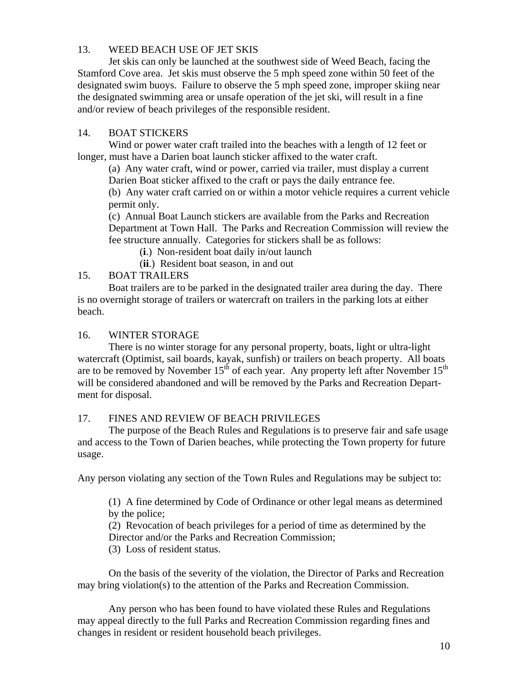# 13. WEED BEACH USE OF JET SKIS

 Jet skis can only be launched at the southwest side of Weed Beach, facing the Stamford Cove area. Jet skis must observe the 5 mph speed zone within 50 feet of the designated swim buoys. Failure to observe the 5 mph speed zone, improper skiing near the designated swimming area or unsafe operation of the jet ski, will result in a fine and/or review of beach privileges of the responsible resident.

### 14. BOAT STICKERS

 Wind or power water craft trailed into the beaches with a length of 12 feet or longer, must have a Darien boat launch sticker affixed to the water craft.

 (a) Any water craft, wind or power, carried via trailer, must display a current Darien Boat sticker affixed to the craft or pays the daily entrance fee.

 (b) Any water craft carried on or within a motor vehicle requires a current vehicle permit only.

 (c) Annual Boat Launch stickers are available from the Parks and Recreation Department at Town Hall. The Parks and Recreation Commission will review the fee structure annually. Categories for stickers shall be as follows:

(**i**.) Non-resident boat daily in/out launch

(**ii**.) Resident boat season, in and out

### 15. BOAT TRAILERS

 Boat trailers are to be parked in the designated trailer area during the day. There is no overnight storage of trailers or watercraft on trailers in the parking lots at either beach.

### 16. WINTER STORAGE

 There is no winter storage for any personal property, boats, light or ultra-light watercraft (Optimist, sail boards, kayak, sunfish) or trailers on beach property. All boats are to be removed by November  $15<sup>th</sup>$  of each year. Any property left after November  $15<sup>th</sup>$ will be considered abandoned and will be removed by the Parks and Recreation Department for disposal.

## 17. FINES AND REVIEW OF BEACH PRIVILEGES

 The purpose of the Beach Rules and Regulations is to preserve fair and safe usage and access to the Town of Darien beaches, while protecting the Town property for future usage.

Any person violating any section of the Town Rules and Regulations may be subject to:

(1) A fine determined by Code of Ordinance or other legal means as determined by the police;

(2) Revocation of beach privileges for a period of time as determined by the Director and/or the Parks and Recreation Commission;

(3) Loss of resident status.

On the basis of the severity of the violation, the Director of Parks and Recreation may bring violation(s) to the attention of the Parks and Recreation Commission.

 Any person who has been found to have violated these Rules and Regulations may appeal directly to the full Parks and Recreation Commission regarding fines and changes in resident or resident household beach privileges.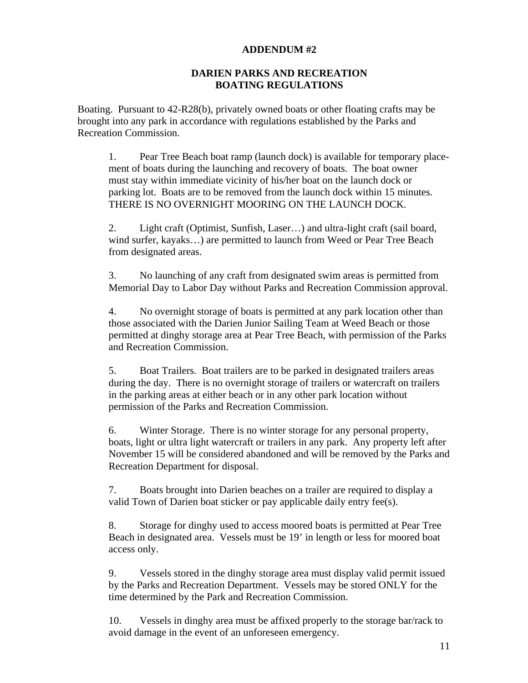#### **ADDENDUM #2**

### **DARIEN PARKS AND RECREATION BOATING REGULATIONS**

Boating. Pursuant to 42-R28(b), privately owned boats or other floating crafts may be brought into any park in accordance with regulations established by the Parks and Recreation Commission.

 1. Pear Tree Beach boat ramp (launch dock) is available for temporary place ment of boats during the launching and recovery of boats. The boat owner must stay within immediate vicinity of his/her boat on the launch dock or parking lot. Boats are to be removed from the launch dock within 15 minutes. THERE IS NO OVERNIGHT MOORING ON THE LAUNCH DOCK.

 2. Light craft (Optimist, Sunfish, Laser…) and ultra-light craft (sail board, wind surfer, kayaks…) are permitted to launch from Weed or Pear Tree Beach from designated areas.

 3. No launching of any craft from designated swim areas is permitted from Memorial Day to Labor Day without Parks and Recreation Commission approval.

 4. No overnight storage of boats is permitted at any park location other than those associated with the Darien Junior Sailing Team at Weed Beach or those permitted at dinghy storage area at Pear Tree Beach, with permission of the Parks and Recreation Commission.

 5. Boat Trailers. Boat trailers are to be parked in designated trailers areas during the day. There is no overnight storage of trailers or watercraft on trailers in the parking areas at either beach or in any other park location without permission of the Parks and Recreation Commission.

 6. Winter Storage. There is no winter storage for any personal property, boats, light or ultra light watercraft or trailers in any park. Any property left after November 15 will be considered abandoned and will be removed by the Parks and Recreation Department for disposal.

 7. Boats brought into Darien beaches on a trailer are required to display a valid Town of Darien boat sticker or pay applicable daily entry fee(s).

 8. Storage for dinghy used to access moored boats is permitted at Pear Tree Beach in designated area. Vessels must be 19' in length or less for moored boat access only.

 9. Vessels stored in the dinghy storage area must display valid permit issued by the Parks and Recreation Department. Vessels may be stored ONLY for the time determined by the Park and Recreation Commission.

 10. Vessels in dinghy area must be affixed properly to the storage bar/rack to avoid damage in the event of an unforeseen emergency.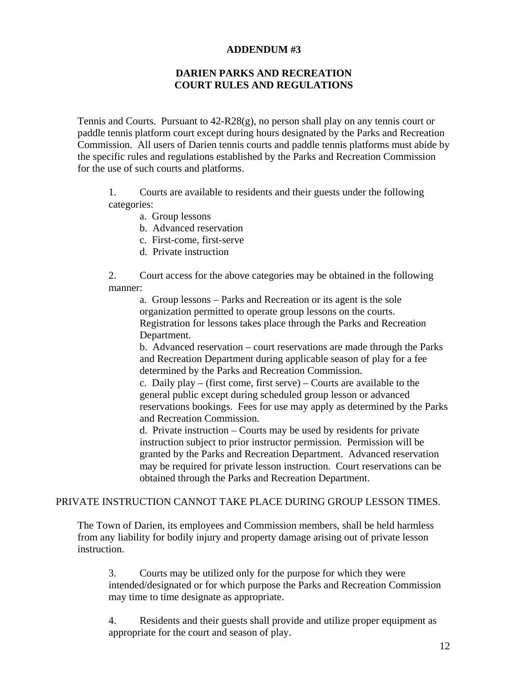### **ADDENDUM #3**

## **DARIEN PARKS AND RECREATION COURT RULES AND REGULATIONS**

Tennis and Courts. Pursuant to 42-R28(g), no person shall play on any tennis court or paddle tennis platform court except during hours designated by the Parks and Recreation Commission. All users of Darien tennis courts and paddle tennis platforms must abide by the specific rules and regulations established by the Parks and Recreation Commission for the use of such courts and platforms.

 1. Courts are available to residents and their guests under the following categories:

- a. Group lessons
- b. Advanced reservation
- c. First-come, first-serve
- d. Private instruction

 2. Court access for the above categories may be obtained in the following manner:

 a. Group lessons – Parks and Recreation or its agent is the sole organization permitted to operate group lessons on the courts. Registration for lessons takes place through the Parks and Recreation Department.

 b. Advanced reservation – court reservations are made through the Parks and Recreation Department during applicable season of play for a fee determined by the Parks and Recreation Commission.

 c. Daily play – (first come, first serve) – Courts are available to the general public except during scheduled group lesson or advanced reservations bookings. Fees for use may apply as determined by the Parks and Recreation Commission.

 d. Private instruction – Courts may be used by residents for private instruction subject to prior instructor permission. Permission will be granted by the Parks and Recreation Department. Advanced reservation may be required for private lesson instruction. Court reservations can be obtained through the Parks and Recreation Department.

### PRIVATE INSTRUCTION CANNOT TAKE PLACE DURING GROUP LESSON TIMES.

The Town of Darien, its employees and Commission members, shall be held harmless from any liability for bodily injury and property damage arising out of private lesson instruction.

 3. Courts may be utilized only for the purpose for which they were intended/designated or for which purpose the Parks and Recreation Commission may time to time designate as appropriate.

 4. Residents and their guests shall provide and utilize proper equipment as appropriate for the court and season of play.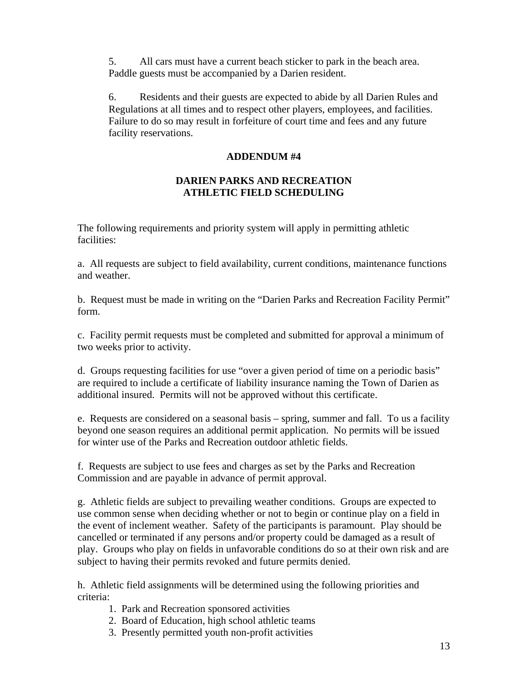5. All cars must have a current beach sticker to park in the beach area. Paddle guests must be accompanied by a Darien resident.

 6. Residents and their guests are expected to abide by all Darien Rules and Regulations at all times and to respect other players, employees, and facilities. Failure to do so may result in forfeiture of court time and fees and any future facility reservations.

### **ADDENDUM #4**

# **DARIEN PARKS AND RECREATION ATHLETIC FIELD SCHEDULING**

The following requirements and priority system will apply in permitting athletic facilities:

a. All requests are subject to field availability, current conditions, maintenance functions and weather.

b. Request must be made in writing on the "Darien Parks and Recreation Facility Permit" form.

c. Facility permit requests must be completed and submitted for approval a minimum of two weeks prior to activity.

d. Groups requesting facilities for use "over a given period of time on a periodic basis" are required to include a certificate of liability insurance naming the Town of Darien as additional insured. Permits will not be approved without this certificate.

e. Requests are considered on a seasonal basis – spring, summer and fall. To us a facility beyond one season requires an additional permit application. No permits will be issued for winter use of the Parks and Recreation outdoor athletic fields.

f. Requests are subject to use fees and charges as set by the Parks and Recreation Commission and are payable in advance of permit approval.

g. Athletic fields are subject to prevailing weather conditions. Groups are expected to use common sense when deciding whether or not to begin or continue play on a field in the event of inclement weather. Safety of the participants is paramount. Play should be cancelled or terminated if any persons and/or property could be damaged as a result of play. Groups who play on fields in unfavorable conditions do so at their own risk and are subject to having their permits revoked and future permits denied.

h. Athletic field assignments will be determined using the following priorities and criteria:

- 1. Park and Recreation sponsored activities
- 2. Board of Education, high school athletic teams
- 3. Presently permitted youth non-profit activities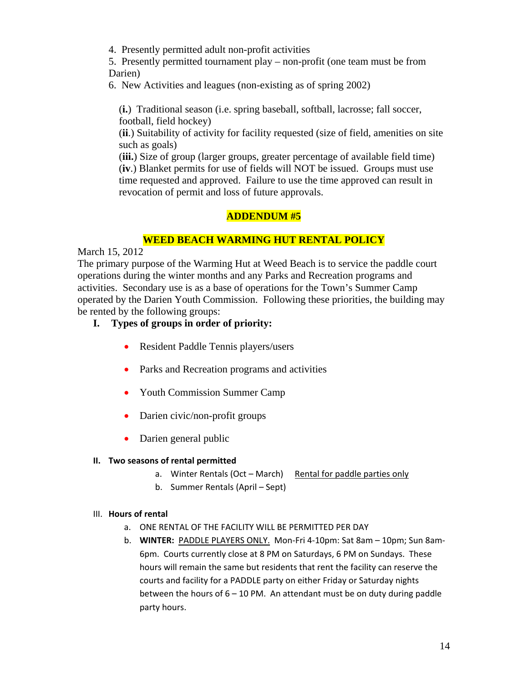4. Presently permitted adult non-profit activities

5. Presently permitted tournament play – non-profit (one team must be from Darien)

6. New Activities and leagues (non-existing as of spring 2002)

(**i.**) Traditional season (i.e. spring baseball, softball, lacrosse; fall soccer, football, field hockey)

(**ii**.) Suitability of activity for facility requested (size of field, amenities on site such as goals)

(**iii.**) Size of group (larger groups, greater percentage of available field time) (**iv**.) Blanket permits for use of fields will NOT be issued. Groups must use time requested and approved. Failure to use the time approved can result in revocation of permit and loss of future approvals.

# **ADDENDUM #5**

### **WEED BEACH WARMING HUT RENTAL POLICY**

March 15, 2012

The primary purpose of the Warming Hut at Weed Beach is to service the paddle court operations during the winter months and any Parks and Recreation programs and activities. Secondary use is as a base of operations for the Town's Summer Camp operated by the Darien Youth Commission. Following these priorities, the building may be rented by the following groups:

- **I. Types of groups in order of priority:** 
	- Resident Paddle Tennis players/users
	- Parks and Recreation programs and activities
	- Youth Commission Summer Camp
	- Darien civic/non-profit groups
	- Darien general public

### **II. Two seasons of rental permitted**

- a. Winter Rentals (Oct March) Rental for paddle parties only
- b. Summer Rentals (April Sept)

#### III. **Hours of rental**

- a. ONE RENTAL OF THE FACILITY WILL BE PERMITTED PER DAY
- b. **WINTER:** PADDLE PLAYERS ONLY. Mon‐Fri 4‐10pm: Sat 8am 10pm; Sun 8am‐ 6pm. Courts currently close at 8 PM on Saturdays, 6 PM on Sundays. These hours will remain the same but residents that rent the facility can reserve the courts and facility for a PADDLE party on either Friday or Saturday nights between the hours of  $6 - 10$  PM. An attendant must be on duty during paddle party hours.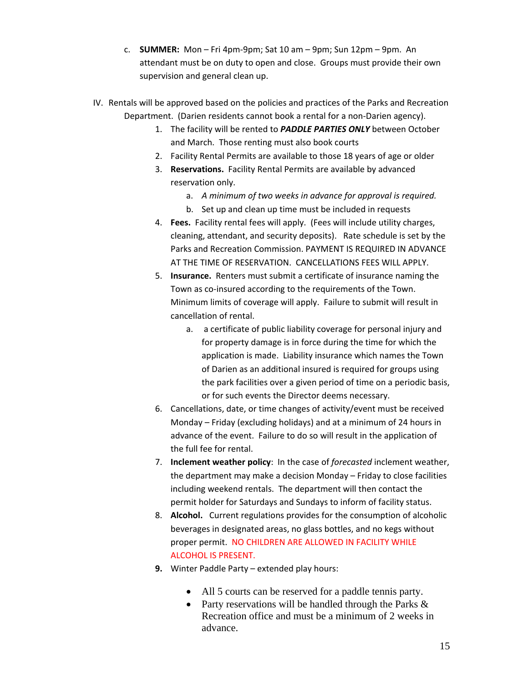- c. **SUMMER:** Mon Fri 4pm‐9pm; Sat 10 am 9pm; Sun 12pm 9pm. An attendant must be on duty to open and close. Groups must provide their own supervision and general clean up.
- IV. Rentals will be approved based on the policies and practices of the Parks and Recreation Department. (Darien residents cannot book a rental for a non‐Darien agency).
	- 1. The facility will be rented to *PADDLE PARTIES ONLY* between October and March. Those renting must also book courts
	- 2. Facility Rental Permits are available to those 18 years of age or older
	- 3. **Reservations.** Facility Rental Permits are available by advanced reservation only.
		- a. *A minimum of two weeks in advance for approval is required.*
		- b. Set up and clean up time must be included in requests
	- 4. **Fees.** Facility rental fees will apply. (Fees will include utility charges, cleaning, attendant, and security deposits). Rate schedule is set by the Parks and Recreation Commission. PAYMENT IS REQUIRED IN ADVANCE AT THE TIME OF RESERVATION. CANCELLATIONS FEES WILL APPLY.
	- 5. **Insurance.** Renters must submit a certificate of insurance naming the Town as co‐insured according to the requirements of the Town. Minimum limits of coverage will apply. Failure to submit will result in cancellation of rental.
		- a. a certificate of public liability coverage for personal injury and for property damage is in force during the time for which the application is made. Liability insurance which names the Town of Darien as an additional insured is required for groups using the park facilities over a given period of time on a periodic basis, or for such events the Director deems necessary.
	- 6. Cancellations, date, or time changes of activity/event must be received Monday – Friday (excluding holidays) and at a minimum of 24 hours in advance of the event. Failure to do so will result in the application of the full fee for rental.
	- 7. **Inclement weather policy**: In the case of *forecasted* inclement weather, the department may make a decision Monday – Friday to close facilities including weekend rentals. The department will then contact the permit holder for Saturdays and Sundays to inform of facility status.
	- 8. **Alcohol.** Current regulations provides for the consumption of alcoholic beverages in designated areas, no glass bottles, and no kegs without proper permit. NO CHILDREN ARE ALLOWED IN FACILITY WHILE ALCOHOL IS PRESENT.
	- **9.** Winter Paddle Party extended play hours:
		- All 5 courts can be reserved for a paddle tennis party.
		- Party reservations will be handled through the Parks & Recreation office and must be a minimum of 2 weeks in advance.